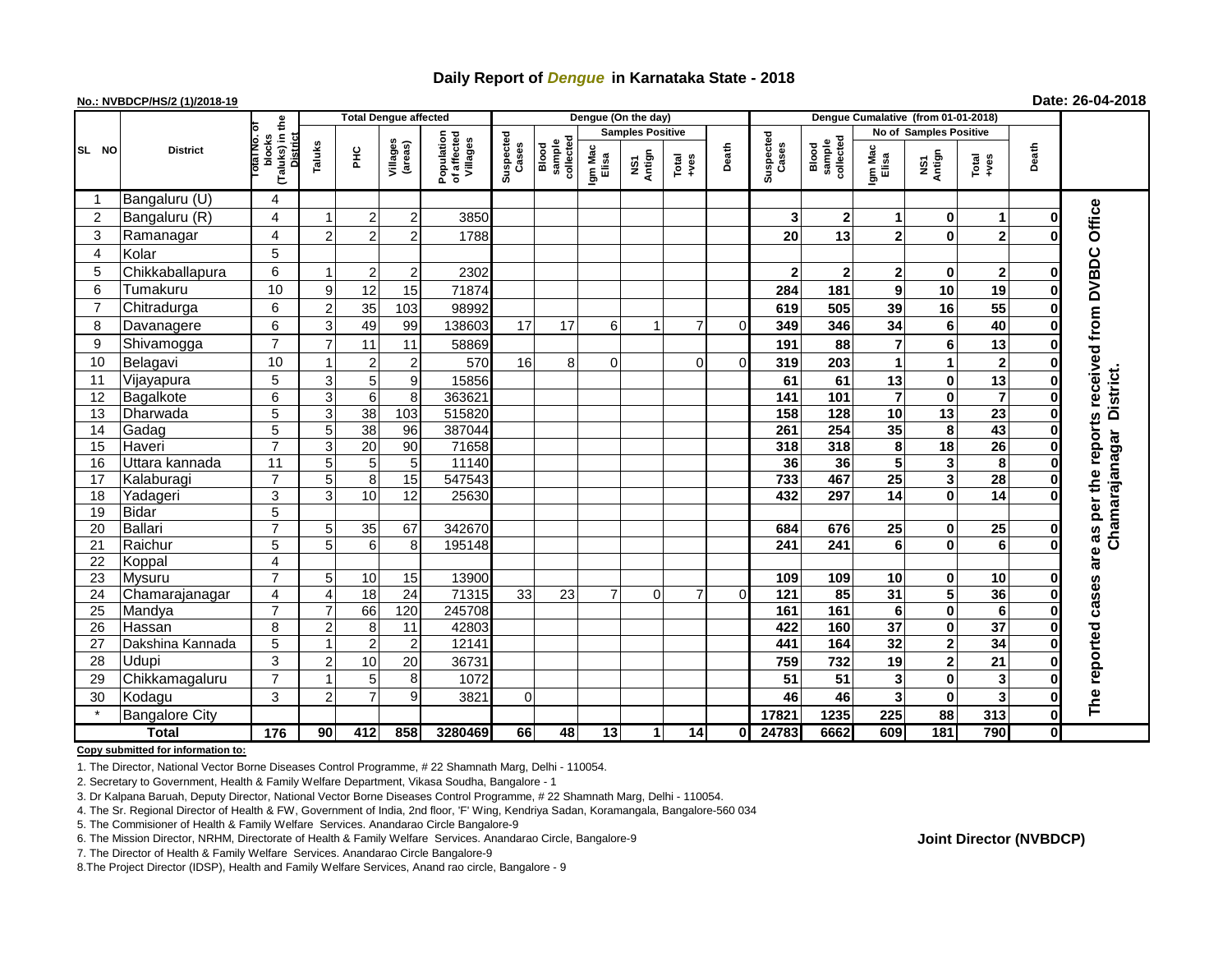## **Daily Report of** *Dengue* **in Karnataka State - 2018**

### **No.: NVBDCP/HS/2 (1)/2018-19 Date: 26-04-2018**

|                | <b>District</b>       |                                                   | <b>Total Dengue affected</b> |                 |                         |                                       |                    |                              | Dengue (On the day)     |                |                 |          |                    |                              |                         |                               |                        |              |                     |
|----------------|-----------------------|---------------------------------------------------|------------------------------|-----------------|-------------------------|---------------------------------------|--------------------|------------------------------|-------------------------|----------------|-----------------|----------|--------------------|------------------------------|-------------------------|-------------------------------|------------------------|--------------|---------------------|
|                |                       |                                                   |                              |                 |                         |                                       |                    | collected<br>sample<br>Blood | <b>Samples Positive</b> |                |                 |          |                    |                              |                         | <b>No of Samples Positive</b> |                        |              |                     |
| SL NO          |                       | (Taluks) in the<br>blocks<br>District<br>סוח וגזס | Taluks                       | 운               | Villages<br>(areas)     | Population<br>of affected<br>Villages | Suspected<br>Cases |                              | Igm Mac<br>Elisa        | Antign<br>ŠΝ   | Total<br>$+ves$ | Death    | Suspected<br>Cases | sample<br>collected<br>Blood | Igm Mac<br>Elisa        | NS1<br>Antign                 | Death<br>Total<br>+ves |              |                     |
|                | Bangaluru (U)         | 4                                                 |                              |                 |                         |                                       |                    |                              |                         |                |                 |          |                    |                              |                         |                               |                        |              |                     |
| $\overline{2}$ | Bangaluru (R)         | 4                                                 |                              | $\overline{c}$  | $2^{1}$                 | 3850                                  |                    |                              |                         |                |                 |          | 3                  | $\mathbf 2$                  | 1                       | 0                             | -1                     | 0            | Office              |
| 3              | Ramanagar             | 4                                                 | $\overline{2}$               | $\overline{2}$  | 2                       | 1788                                  |                    |                              |                         |                |                 |          | 20                 | 13                           | $\overline{2}$          | $\bf{0}$                      | $\overline{2}$         |              |                     |
| $\overline{4}$ | Kolar                 | 5                                                 |                              |                 |                         |                                       |                    |                              |                         |                |                 |          |                    |                              |                         |                               |                        |              |                     |
| 5              | Chikkaballapura       | $\,6$                                             |                              | 2 <sup>1</sup>  | 2                       | 2302                                  |                    |                              |                         |                |                 |          | $\mathbf 2$        | $\mathbf{2}$                 | $\mathbf{2}$            | 0                             | $\overline{2}$         | 0            |                     |
| 6              | Tumakuru              | 10                                                | 9                            | 12              | 15                      | 71874                                 |                    |                              |                         |                |                 |          | 284                | 181                          | 9                       | 10                            | 19                     | 0            |                     |
| $\overline{7}$ | Chitradurga           | 6                                                 | $\overline{2}$               | 35              | 103                     | 98992                                 |                    |                              |                         |                |                 |          | 619                | 505                          | 39                      | 16                            | 55                     | $\bf{0}$     |                     |
| 8              | Davanagere            | 6                                                 | 3                            | 49              | 99                      | 138603                                | 17                 | 17                           | 6                       | $\overline{1}$ | $\overline{7}$  | $\Omega$ | 349                | 346                          | 34                      | 6                             | 40                     | 0            |                     |
| 9              | Shivamogga            | $\overline{7}$                                    | $\overline{7}$               | 11              | 11                      | 58869                                 |                    |                              |                         |                |                 |          | 191                | 88                           | $\overline{7}$          | 6                             | 13                     | 0            |                     |
| 10             | Belagavi              | 10                                                |                              | 2               | 2                       | 570                                   | 16                 | 8                            | $\Omega$                |                | $\Omega$        | $\Omega$ | 319                | 203                          |                         | 1                             | $\mathbf{2}$           | 0            | received from DVBDC |
| 11             | Vijayapura            | 5                                                 | 3                            | 5 <sup>1</sup>  | 9                       | 15856                                 |                    |                              |                         |                |                 |          | 61                 | 61                           | 13                      | 0                             | 13                     | 0            | <b>District</b>     |
| 12             | Bagalkote             | 6                                                 | 3                            | 6               | 8 <sup>1</sup>          | 363621                                |                    |                              |                         |                |                 |          | 141                | 101                          | $\overline{7}$          | $\mathbf 0$                   | $\overline{7}$         | $\mathbf{0}$ |                     |
| 13             | Dharwada              | 5                                                 | 3                            | 38              | 103                     | 515820                                |                    |                              |                         |                |                 |          | 158                | 128                          | 10                      | $\overline{13}$               | $\overline{23}$        | $\mathbf 0$  |                     |
| 14             | Gadag                 | $\overline{5}$                                    | 5                            | 38              | $\overline{96}$         | 387044                                |                    |                              |                         |                |                 |          | 261                | 254                          | 35                      | 8                             | 43                     | $\mathbf{0}$ | as per the reports  |
| 15             | Haveri                | $\overline{7}$                                    | 3                            | 20              | $\overline{90}$         | 71658                                 |                    |                              |                         |                |                 |          | 318                | 318                          | 8                       | 18                            | $\overline{26}$        | 0            |                     |
| 16             | Uttara kannada        | $\overline{11}$                                   | 5                            | 5 <sub>5</sub>  | 5                       | 11140                                 |                    |                              |                         |                |                 |          | 36                 | 36                           | $\overline{\mathbf{5}}$ | 3                             | 8                      | $\bf{0}$     | Chamarajanagar      |
| 17             | Kalaburagi            | $\overline{7}$                                    | 5                            | $\bf{8}$        | 15                      | 547543                                |                    |                              |                         |                |                 |          | 733                | 467                          | 25                      | 3                             | $\overline{28}$        | 0            |                     |
| 18             | Yadageri              | $\overline{3}$                                    | 3                            | 10              | 12                      | 25630                                 |                    |                              |                         |                |                 |          | 432                | 297                          | $\overline{14}$         | $\mathbf{0}$                  | $\overline{14}$        |              |                     |
| 19             | Bidar                 | $\overline{5}$                                    |                              |                 |                         |                                       |                    |                              |                         |                |                 |          |                    |                              |                         |                               |                        |              |                     |
| 20             | Ballari               | $\overline{7}$                                    | 5                            | 35              | 67                      | 342670                                |                    |                              |                         |                |                 |          | 684                | 676                          | 25                      | $\mathbf 0$                   | $\overline{25}$        | $\mathbf{0}$ |                     |
| 21             | Raichur               | $\overline{5}$                                    | 5                            | 6               | 8                       | 195148                                |                    |                              |                         |                |                 |          | 241                | 241                          | 6                       | $\bf{0}$                      | 6                      | $\bf{0}$     |                     |
| 22             | Koppal                | 4                                                 |                              |                 |                         |                                       |                    |                              |                         |                |                 |          |                    |                              |                         |                               |                        |              | are                 |
| 23             | Mysuru                | $\overline{7}$                                    | 5                            | 10 <sup>1</sup> | 15                      | 13900                                 |                    |                              |                         |                |                 |          | 109                | 109                          | 10                      | 0                             | 10                     | 0            |                     |
| 24             | Chamarajanagar        | 4                                                 | 4                            | 18              | $\overline{24}$         | 71315                                 | 33                 | 23                           | $\overline{7}$          | $\mathbf 0$    | 7               | 0        | 121                | 85                           | $\overline{31}$         | $\overline{\mathbf{5}}$       | 36                     | $\mathbf{0}$ | cases               |
| 25             | Mandya                | $\overline{7}$                                    | $\overline{7}$               | 66              | 120                     | 245708                                |                    |                              |                         |                |                 |          | 161                | 161                          | 6                       | $\mathbf 0$                   | 6                      | 0            |                     |
| 26             | Hassan                | 8                                                 | 2                            | 8               | 11                      | 42803                                 |                    |                              |                         |                |                 |          | 422                | 160                          | $\overline{37}$         | 0                             | $\overline{37}$        | $\mathbf{0}$ |                     |
| 27             | Dakshina Kannada      | $\overline{5}$                                    |                              | $\overline{2}$  | $\overline{\mathbf{c}}$ | 12141                                 |                    |                              |                         |                |                 |          | 441                | 164                          | 32                      | 2                             | 34                     | 0            |                     |
| 28             | <b>Udupi</b>          | 3                                                 | 2                            | 10              | 20                      | 36731                                 |                    |                              |                         |                |                 |          | 759                | 732                          | 19                      | $\mathbf{2}$                  | 21                     | $\mathbf{0}$ |                     |
| 29             | Chikkamagaluru        | $\overline{7}$                                    |                              | 5 <sub>5</sub>  | 8                       | 1072                                  |                    |                              |                         |                |                 |          | 51                 | 51                           | 3                       | $\bf{0}$                      | 3                      | 0            |                     |
| 30             | Kodagu                | 3                                                 | $\mathcal{P}$                | $\overline{7}$  | 9                       | 3821                                  | $\Omega$           |                              |                         |                |                 |          | 46                 | 46                           | 3                       | $\bf{0}$                      | 3                      | 0            | The reported        |
|                | <b>Bangalore City</b> |                                                   |                              |                 |                         |                                       |                    |                              |                         |                |                 |          | 17821              | 1235                         | 225                     | 88                            | 313                    | $\mathbf{0}$ |                     |
| <b>Total</b>   |                       | 176                                               | 90 <sup>°</sup>              | 412             | 858                     | 3280469                               | 66                 | 48                           | 13                      | 1              | $\overline{14}$ | $\bf{0}$ | 24783              | 6662                         | 609                     | 181                           | 790                    | Οl           |                     |

**Copy submitted for information to:**

1. The Director, National Vector Borne Diseases Control Programme, # 22 Shamnath Marg, Delhi - 110054.

2. Secretary to Government, Health & Family Welfare Department, Vikasa Soudha, Bangalore - 1

3. Dr Kalpana Baruah, Deputy Director, National Vector Borne Diseases Control Programme, # 22 Shamnath Marg, Delhi - 110054.

4. The Sr. Regional Director of Health & FW, Government of India, 2nd floor, 'F' Wing, Kendriya Sadan, Koramangala, Bangalore-560 034

5. The Commisioner of Health & Family Welfare Services. Anandarao Circle Bangalore-9

7. The Director of Health & Family Welfare Services. Anandarao Circle Bangalore-9

8.The Project Director (IDSP), Health and Family Welfare Services, Anand rao circle, Bangalore - 9

#### **Joint Director (NVBDCP)**

<sup>6.</sup> The Mission Director, NRHM, Directorate of Health & Family Welfare Services. Anandarao Circle, Bangalore-9